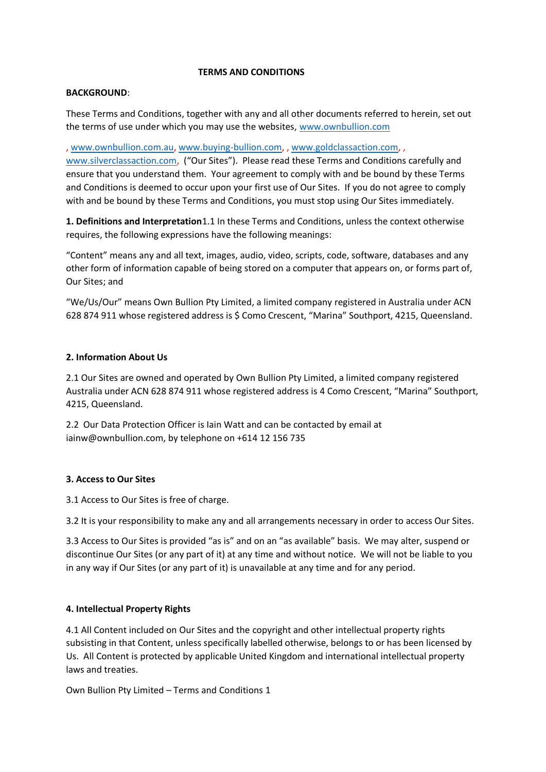#### **TERMS AND CONDITIONS**

### **BACKGROUND**:

These Terms and Conditions, together with any and all other documents referred to herein, set out the terms of use under which you may use the websites, [www.ownbullion.com](http://www.ownbullion.com/)

, [www.ownbullion.com.au,](http://www.ownbullion.com.au/) [www.buying-bullion.com,](http://www.buying-bullion.com/) , [www.goldclassaction.com,](http://www.goldclassaction.com/) ,

[www.silverclassaction.com,](http://www.silverclassaction.com/) ("Our Sites"). Please read these Terms and Conditions carefully and ensure that you understand them. Your agreement to comply with and be bound by these Terms and Conditions is deemed to occur upon your first use of Our Sites. If you do not agree to comply with and be bound by these Terms and Conditions, you must stop using Our Sites immediately.

**1. Definitions and Interpretation**1.1 In these Terms and Conditions, unless the context otherwise requires, the following expressions have the following meanings:

"Content" means any and all text, images, audio, video, scripts, code, software, databases and any other form of information capable of being stored on a computer that appears on, or forms part of, Our Sites; and

"We/Us/Our" means Own Bullion Pty Limited, a limited company registered in Australia under ACN 628 874 911 whose registered address is \$ Como Crescent, "Marina" Southport, 4215, Queensland.

### **2. Information About Us**

2.1 Our Sites are owned and operated by Own Bullion Pty Limited, a limited company registered Australia under ACN 628 874 911 whose registered address is 4 Como Crescent, "Marina" Southport, 4215, Queensland.

2.2 Our Data Protection Officer is Iain Watt and can be contacted by email at iainw@ownbullion.com, by telephone on +614 12 156 735

# **3. Access to Our Sites**

3.1 Access to Our Sites is free of charge.

3.2 It is your responsibility to make any and all arrangements necessary in order to access Our Sites.

3.3 Access to Our Sites is provided "as is" and on an "as available" basis. We may alter, suspend or discontinue Our Sites (or any part of it) at any time and without notice. We will not be liable to you in any way if Our Sites (or any part of it) is unavailable at any time and for any period.

# **4. Intellectual Property Rights**

4.1 All Content included on Our Sites and the copyright and other intellectual property rights subsisting in that Content, unless specifically labelled otherwise, belongs to or has been licensed by Us. All Content is protected by applicable United Kingdom and international intellectual property laws and treaties.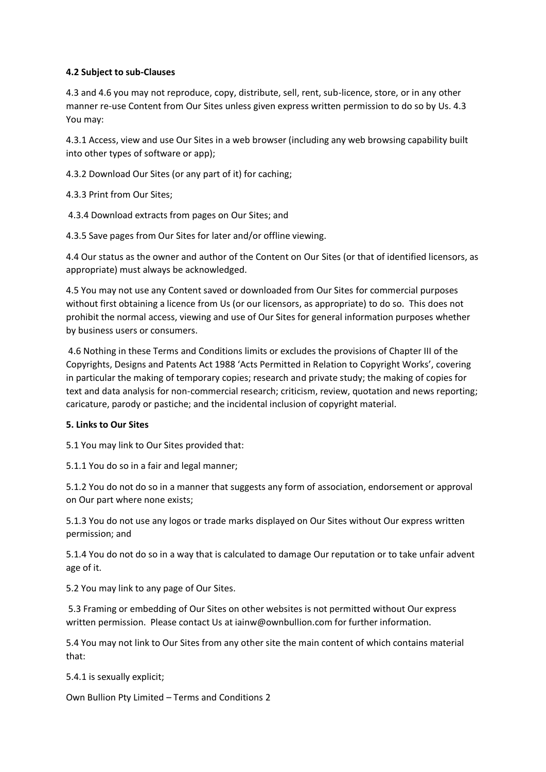### **4.2 Subject to sub-Clauses**

4.3 and 4.6 you may not reproduce, copy, distribute, sell, rent, sub-licence, store, or in any other manner re-use Content from Our Sites unless given express written permission to do so by Us. 4.3 You may:

4.3.1 Access, view and use Our Sites in a web browser (including any web browsing capability built into other types of software or app);

4.3.2 Download Our Sites (or any part of it) for caching;

4.3.3 Print from Our Sites;

4.3.4 Download extracts from pages on Our Sites; and

4.3.5 Save pages from Our Sites for later and/or offline viewing.

4.4 Our status as the owner and author of the Content on Our Sites (or that of identified licensors, as appropriate) must always be acknowledged.

4.5 You may not use any Content saved or downloaded from Our Sites for commercial purposes without first obtaining a licence from Us (or our licensors, as appropriate) to do so. This does not prohibit the normal access, viewing and use of Our Sites for general information purposes whether by business users or consumers.

4.6 Nothing in these Terms and Conditions limits or excludes the provisions of Chapter III of the Copyrights, Designs and Patents Act 1988 'Acts Permitted in Relation to Copyright Works', covering in particular the making of temporary copies; research and private study; the making of copies for text and data analysis for non-commercial research; criticism, review, quotation and news reporting; caricature, parody or pastiche; and the incidental inclusion of copyright material.

### **5. Links to Our Sites**

5.1 You may link to Our Sites provided that:

5.1.1 You do so in a fair and legal manner;

5.1.2 You do not do so in a manner that suggests any form of association, endorsement or approval on Our part where none exists;

5.1.3 You do not use any logos or trade marks displayed on Our Sites without Our express written permission; and

5.1.4 You do not do so in a way that is calculated to damage Our reputation or to take unfair advent age of it.

5.2 You may link to any page of Our Sites.

5.3 Framing or embedding of Our Sites on other websites is not permitted without Our express written permission. Please contact Us at iainw@ownbullion.com for further information.

5.4 You may not link to Our Sites from any other site the main content of which contains material that:

5.4.1 is sexually explicit;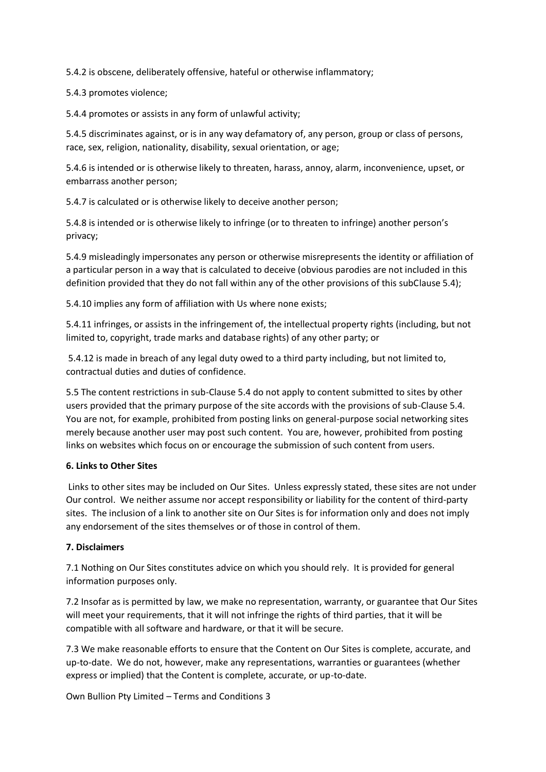5.4.2 is obscene, deliberately offensive, hateful or otherwise inflammatory;

5.4.3 promotes violence;

5.4.4 promotes or assists in any form of unlawful activity;

5.4.5 discriminates against, or is in any way defamatory of, any person, group or class of persons, race, sex, religion, nationality, disability, sexual orientation, or age;

5.4.6 is intended or is otherwise likely to threaten, harass, annoy, alarm, inconvenience, upset, or embarrass another person;

5.4.7 is calculated or is otherwise likely to deceive another person;

5.4.8 is intended or is otherwise likely to infringe (or to threaten to infringe) another person's privacy;

5.4.9 misleadingly impersonates any person or otherwise misrepresents the identity or affiliation of a particular person in a way that is calculated to deceive (obvious parodies are not included in this definition provided that they do not fall within any of the other provisions of this subClause 5.4);

5.4.10 implies any form of affiliation with Us where none exists;

5.4.11 infringes, or assists in the infringement of, the intellectual property rights (including, but not limited to, copyright, trade marks and database rights) of any other party; or

5.4.12 is made in breach of any legal duty owed to a third party including, but not limited to, contractual duties and duties of confidence.

5.5 The content restrictions in sub-Clause 5.4 do not apply to content submitted to sites by other users provided that the primary purpose of the site accords with the provisions of sub-Clause 5.4. You are not, for example, prohibited from posting links on general-purpose social networking sites merely because another user may post such content. You are, however, prohibited from posting links on websites which focus on or encourage the submission of such content from users.

### **6. Links to Other Sites**

Links to other sites may be included on Our Sites. Unless expressly stated, these sites are not under Our control. We neither assume nor accept responsibility or liability for the content of third-party sites. The inclusion of a link to another site on Our Sites is for information only and does not imply any endorsement of the sites themselves or of those in control of them.

# **7. Disclaimers**

7.1 Nothing on Our Sites constitutes advice on which you should rely. It is provided for general information purposes only.

7.2 Insofar as is permitted by law, we make no representation, warranty, or guarantee that Our Sites will meet your requirements, that it will not infringe the rights of third parties, that it will be compatible with all software and hardware, or that it will be secure.

7.3 We make reasonable efforts to ensure that the Content on Our Sites is complete, accurate, and up-to-date. We do not, however, make any representations, warranties or guarantees (whether express or implied) that the Content is complete, accurate, or up-to-date.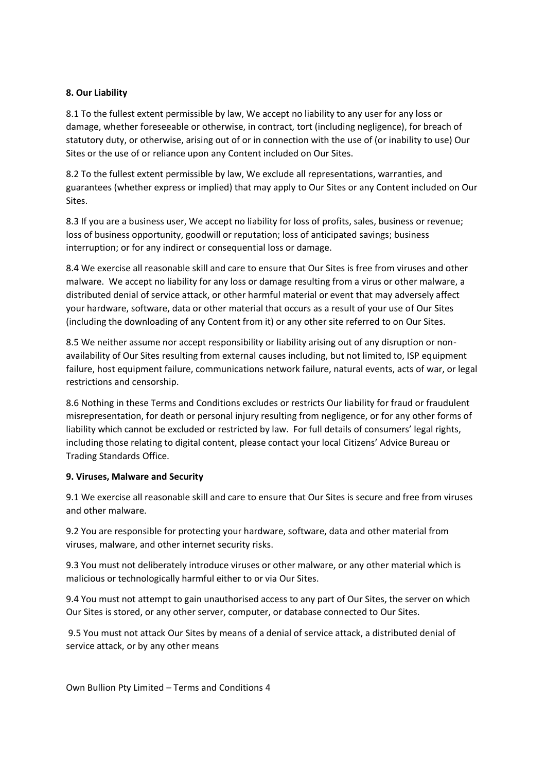### **8. Our Liability**

8.1 To the fullest extent permissible by law, We accept no liability to any user for any loss or damage, whether foreseeable or otherwise, in contract, tort (including negligence), for breach of statutory duty, or otherwise, arising out of or in connection with the use of (or inability to use) Our Sites or the use of or reliance upon any Content included on Our Sites.

8.2 To the fullest extent permissible by law, We exclude all representations, warranties, and guarantees (whether express or implied) that may apply to Our Sites or any Content included on Our Sites.

8.3 If you are a business user, We accept no liability for loss of profits, sales, business or revenue; loss of business opportunity, goodwill or reputation; loss of anticipated savings; business interruption; or for any indirect or consequential loss or damage.

8.4 We exercise all reasonable skill and care to ensure that Our Sites is free from viruses and other malware. We accept no liability for any loss or damage resulting from a virus or other malware, a distributed denial of service attack, or other harmful material or event that may adversely affect your hardware, software, data or other material that occurs as a result of your use of Our Sites (including the downloading of any Content from it) or any other site referred to on Our Sites.

8.5 We neither assume nor accept responsibility or liability arising out of any disruption or nonavailability of Our Sites resulting from external causes including, but not limited to, ISP equipment failure, host equipment failure, communications network failure, natural events, acts of war, or legal restrictions and censorship.

8.6 Nothing in these Terms and Conditions excludes or restricts Our liability for fraud or fraudulent misrepresentation, for death or personal injury resulting from negligence, or for any other forms of liability which cannot be excluded or restricted by law. For full details of consumers' legal rights, including those relating to digital content, please contact your local Citizens' Advice Bureau or Trading Standards Office.

### **9. Viruses, Malware and Security**

9.1 We exercise all reasonable skill and care to ensure that Our Sites is secure and free from viruses and other malware.

9.2 You are responsible for protecting your hardware, software, data and other material from viruses, malware, and other internet security risks.

9.3 You must not deliberately introduce viruses or other malware, or any other material which is malicious or technologically harmful either to or via Our Sites.

9.4 You must not attempt to gain unauthorised access to any part of Our Sites, the server on which Our Sites is stored, or any other server, computer, or database connected to Our Sites.

9.5 You must not attack Our Sites by means of a denial of service attack, a distributed denial of service attack, or by any other means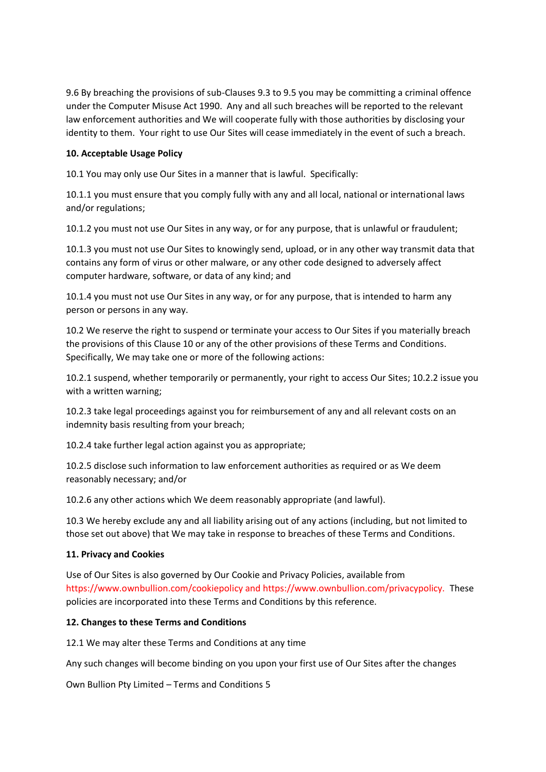9.6 By breaching the provisions of sub-Clauses 9.3 to 9.5 you may be committing a criminal offence under the Computer Misuse Act 1990. Any and all such breaches will be reported to the relevant law enforcement authorities and We will cooperate fully with those authorities by disclosing your identity to them. Your right to use Our Sites will cease immediately in the event of such a breach.

## **10. Acceptable Usage Policy**

10.1 You may only use Our Sites in a manner that is lawful. Specifically:

10.1.1 you must ensure that you comply fully with any and all local, national or international laws and/or regulations;

10.1.2 you must not use Our Sites in any way, or for any purpose, that is unlawful or fraudulent;

10.1.3 you must not use Our Sites to knowingly send, upload, or in any other way transmit data that contains any form of virus or other malware, or any other code designed to adversely affect computer hardware, software, or data of any kind; and

10.1.4 you must not use Our Sites in any way, or for any purpose, that is intended to harm any person or persons in any way.

10.2 We reserve the right to suspend or terminate your access to Our Sites if you materially breach the provisions of this Clause 10 or any of the other provisions of these Terms and Conditions. Specifically, We may take one or more of the following actions:

10.2.1 suspend, whether temporarily or permanently, your right to access Our Sites; 10.2.2 issue you with a written warning;

10.2.3 take legal proceedings against you for reimbursement of any and all relevant costs on an indemnity basis resulting from your breach;

10.2.4 take further legal action against you as appropriate;

10.2.5 disclose such information to law enforcement authorities as required or as We deem reasonably necessary; and/or

10.2.6 any other actions which We deem reasonably appropriate (and lawful).

10.3 We hereby exclude any and all liability arising out of any actions (including, but not limited to those set out above) that We may take in response to breaches of these Terms and Conditions.

### **11. Privacy and Cookies**

Use of Our Sites is also governed by Our Cookie and Privacy Policies, available from https://www.ownbullion.com/cookiepolicy and https://www.ownbullion.com/privacypolicy. These policies are incorporated into these Terms and Conditions by this reference.

### **12. Changes to these Terms and Conditions**

12.1 We may alter these Terms and Conditions at any time

Any such changes will become binding on you upon your first use of Our Sites after the changes